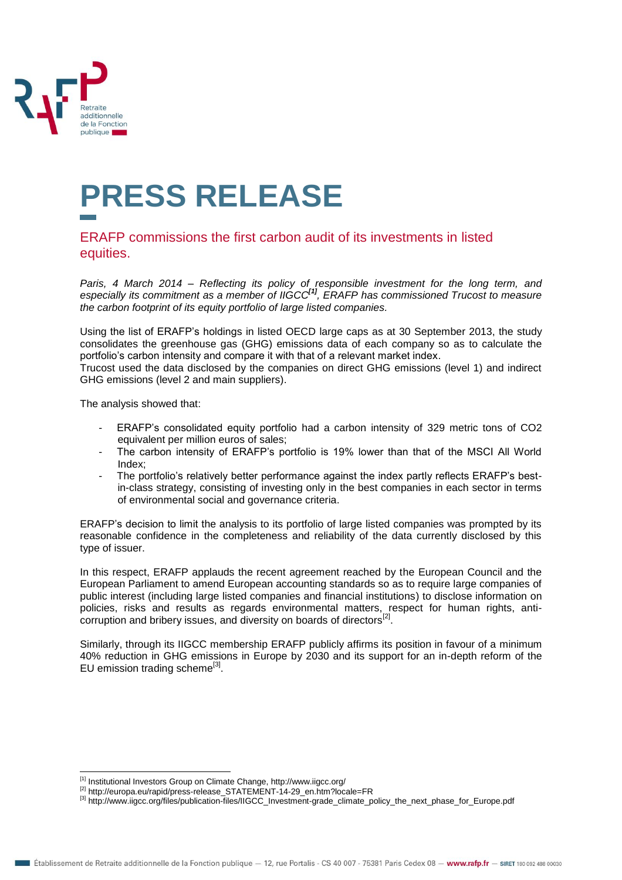

## **PRESS RELEASE**

## ERAFP commissions the first carbon audit of its investments in listed equities.

*Paris, 4 March 2014 – Reflecting its policy of responsible investment for the long term, and especially its commitment as a member of IIGCC[1], ERAFP has commissioned Trucost to measure the carbon footprint of its equity portfolio of large listed companies.*

Using the list of ERAFP's holdings in listed OECD large caps as at 30 September 2013, the study consolidates the greenhouse gas (GHG) emissions data of each company so as to calculate the portfolio's carbon intensity and compare it with that of a relevant market index.

Trucost used the data disclosed by the companies on direct GHG emissions (level 1) and indirect GHG emissions (level 2 and main suppliers).

The analysis showed that:

- ERAFP's consolidated equity portfolio had a carbon intensity of 329 metric tons of CO2 equivalent per million euros of sales;
- The carbon intensity of ERAFP's portfolio is 19% lower than that of the MSCI All World Index;
- The portfolio's relatively better performance against the index partly reflects ERAFP's bestin-class strategy, consisting of investing only in the best companies in each sector in terms of environmental social and governance criteria.

ERAFP's decision to limit the analysis to its portfolio of large listed companies was prompted by its reasonable confidence in the completeness and reliability of the data currently disclosed by this type of issuer.

In this respect, ERAFP applauds the recent agreement reached by the European Council and the European Parliament to amend European accounting standards so as to require large companies of public interest (including large listed companies and financial institutions) to disclose information on policies, risks and results as regards environmental matters, respect for human rights, anticorruption and bribery issues, and diversity on boards of directors<sup>[2]</sup>.

Similarly, through its IIGCC membership ERAFP publicly affirms its position in favour of a minimum 40% reduction in GHG emissions in Europe by 2030 and its support for an in-depth reform of the EU emission trading scheme<sup>[3]</sup>.

 $\overline{a}$ [1] Institutional Investors Group on Climate Change,<http://www.iigcc.org/>

<sup>[2]</sup> [http://europa.eu/rapid/press-release\\_STATEMENT-14-29\\_en.htm?locale=FR](http://europa.eu/rapid/press-release_STATEMENT-14-29_en.htm?locale=FR)

<sup>[3]</sup> [http://www.iigcc.org/files/publication-files/IIGCC\\_Investment-grade\\_climate\\_policy\\_the\\_next\\_phase\\_for\\_Europe.pdf](http://www.iigcc.org/files/publication-files/IIGCC_Investment-grade_climate_policy_the_next_phase_for_Europe.pdf)